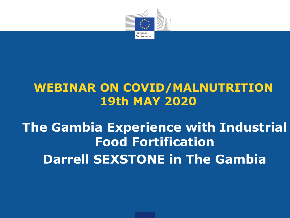

#### **WEBINAR ON COVID/MALNUTRITION 19th MAY 2020**

# **The Gambia Experience with Industrial Food Fortification Darrell SEXSTONE in The Gambia**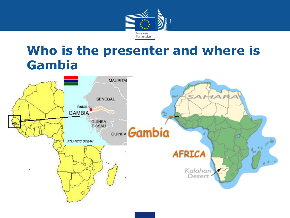

#### **Who is the presenter and where is Gambia**

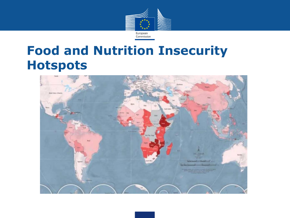

## **Food and Nutrition Insecurity Hotspots**

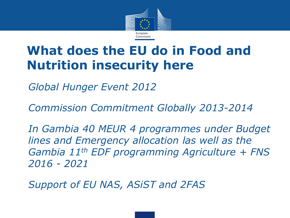

## **What does the EU do in Food and Nutrition insecurity here**

• *Global Hunger Event 2012*

• *Commission Commitment Globally 2013-2014*

• *In Gambia 40 MEUR 4 programmes under Budget lines and Emergency allocation las well as the Gambia 11th EDF programming Agriculture + FNS 2016 - 2021*

• *Support of EU NAS, ASiST and 2FAS*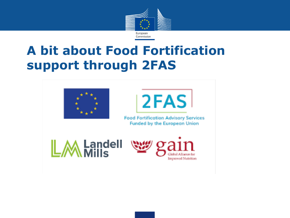

## **A bit about Food Fortification support through 2FAS**





**Food Fortification Advisory Services** Funded by the European Union

A Landell<br>∧Mills

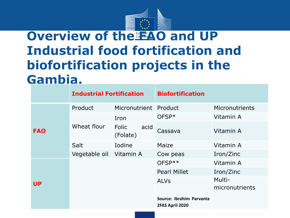

#### **Overview of the FAO and UP Industrial food fortification and biofortification projects in the Gambia.**

|            | <b>Industrial Fortification</b> |                                          | <b>Biofortification</b>                     |                          |
|------------|---------------------------------|------------------------------------------|---------------------------------------------|--------------------------|
| <b>FAO</b> | Product                         | Micronutrient Product                    |                                             | Micronutrients           |
|            | Wheat flour                     | Iron<br><b>Folic</b><br>acid<br>(Folate) | $OFSP*$                                     | Vitamin A                |
|            |                                 |                                          | Cassava                                     | Vitamin A                |
|            | Salt                            | Iodine                                   | Maize                                       | Vitamin A                |
|            | Vegetable oil Vitamin A         |                                          | Cow peas                                    | Iron/Zinc                |
| <b>UP</b>  |                                 |                                          | $OFSP**$                                    | Vitamin A                |
|            |                                 |                                          | <b>Pearl Millet</b>                         | Iron/Zinc                |
|            |                                 |                                          | <b>ALVs</b>                                 | Multi-<br>micronutrients |
|            |                                 |                                          | Source: Ibrahim Parvanta<br>2FAS April 2020 |                          |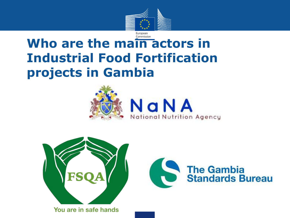

## **Who are the main actors in Industrial Food Fortification projects in Gambia**





You are in safe hands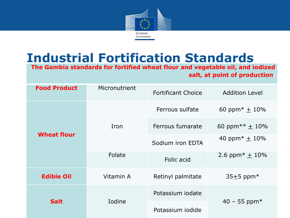

### **Industrial Fortification Standards**

**The Gambia standards for fortified wheat flour and vegetable oil, and iodized salt, at point of production.**

| <b>Food Product</b> | Micronutrient | <b>Fortificant Choice</b> | <b>Addition Level</b>          |
|---------------------|---------------|---------------------------|--------------------------------|
|                     |               | Ferrous sulfate           | 60 ppm <sup>*</sup> $\pm$ 10%  |
|                     | Iron          | Ferrous fumarate          | 60 ppm** $\pm$ 10%             |
| <b>Wheat flour</b>  |               | Sodium iron EDTA          | 40 ppm <sup>*</sup> $\pm$ 10%  |
|                     | Folate        | Folic acid                | 2.6 ppm <sup>*</sup> $\pm$ 10% |
| <b>Edible Oil</b>   | Vitamin A     | Retinyl palmitate         | $35+5$ ppm <sup>*</sup>        |
|                     | Iodine        | Potassium jodate          | $40 - 55$ ppm*                 |
| <b>Salt</b>         |               | Potassium iodide          |                                |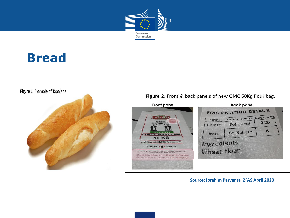

#### **Bread**



**Source: Ibrahim Parvanta 2FAS April 2020**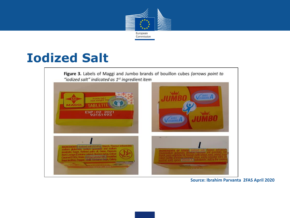

## **Iodized Salt**



**Source: Ibrahim Parvanta 2FAS April 2020**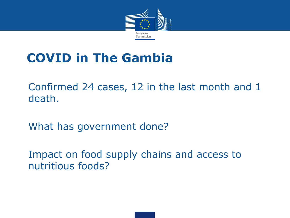

## **COVID in The Gambia**

• Confirmed 24 cases, 12 in the last month and 1 death.

What has government done?

Impact on food supply chains and access to nutritious foods?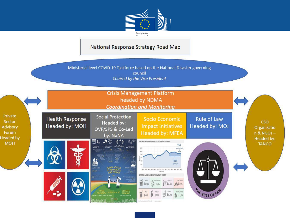

European

#### National Response Strategy Road Map

Ministerial level COVID 19 Taskforce based on the National Disaster governing council **Chaired by the Vice President**